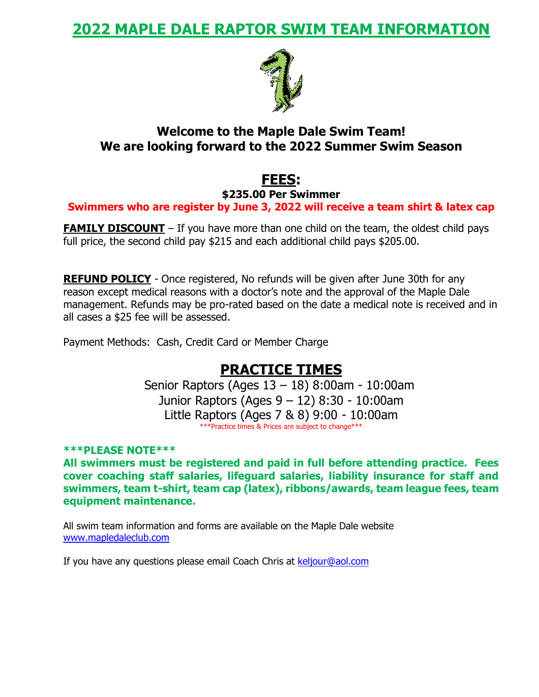### **2022 MAPLE DALE RAPTOR SWIM TEAM INFORMATION**



#### **Welcome to the Maple Dale Swim Team! We are looking forward to the 2022 Summer Swim Season**

## **FEES:**

**\$235.00 Per Swimmer**

**Swimmers who are register by June 3, 2022 will receive a team shirt & latex cap**

**FAMILY DISCOUNT** – If you have more than one child on the team, the oldest child pays full price, the second child pay \$215 and each additional child pays \$205.00.

**REFUND POLICY** - Once registered, No refunds will be given after June 30th for any reason except medical reasons with a doctor's note and the approval of the Maple Dale management. Refunds may be pro-rated based on the date a medical note is received and in all cases a \$25 fee will be assessed.

Payment Methods: Cash, Credit Card or Member Charge

### **PRACTICE TIMES**

Senior Raptors (Ages 13 – 18) 8:00am - 10:00am Junior Raptors (Ages 9 – 12) 8:30 - 10:00am Little Raptors (Ages 7 & 8) 9:00 - 10:00am \*\*\*Practice times & Prices are subject to change\*\*\*

**\*\*\*PLEASE NOTE\*\*\***

**All swimmers must be registered and paid in full before attending practice. Fees cover coaching staff salaries, lifeguard salaries, liability insurance for staff and swimmers, team t-shirt, team cap (latex), ribbons/awards, team league fees, team equipment maintenance.**

All swim team information and forms are available on the Maple Dale website [www.mapledaleclub.com](http://www.mapledaleclub.com/)

If you have any questions please email Coach Chris at [keljour@aol.com](mailto:keljour@aol.com)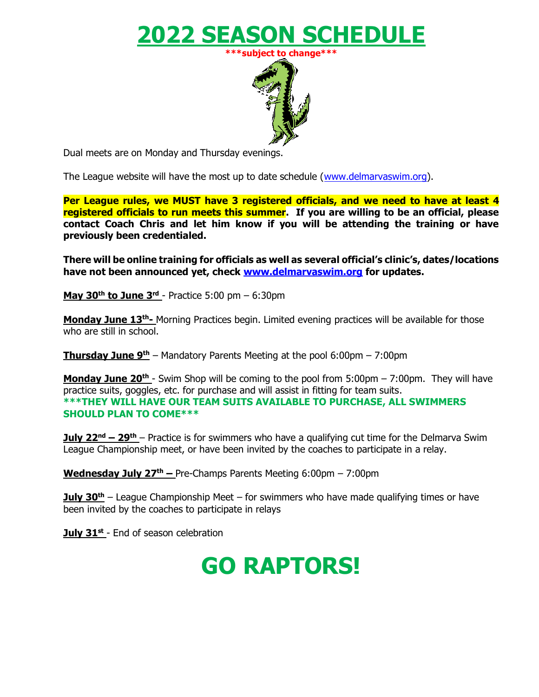# **2022 SEASON SCHEDULE**



Dual meets are on Monday and Thursday evenings.

The League website will have the most up to date schedule [\(www.delmarvaswim.org\)](http://www.delmarvaswim.org/).

**Per League rules, we MUST have 3 registered officials, and we need to have at least 4 registered officials to run meets this summer. If you are willing to be an official, please contact Coach Chris and let him know if you will be attending the training or have previously been credentialed.** 

**There will be online training for officials as well as several official's clinic's, dates/locations have not been announced yet, check [www.delmarvaswim.org](http://www.delmarvaswim.org/) for updates.** 

**May 30th to June 3 rd** - Practice 5:00 pm – 6:30pm

**Monday June 13<sup>th</sup>-** Morning Practices begin. Limited evening practices will be available for those who are still in school.

**Thursday June 9 th** – Mandatory Parents Meeting at the pool 6:00pm – 7:00pm

**Monday June 20<sup>th</sup>** - Swim Shop will be coming to the pool from 5:00pm – 7:00pm. They will have practice suits, goggles, etc. for purchase and will assist in fitting for team suits. **\*\*\*THEY WILL HAVE OUR TEAM SUITS AVAILABLE TO PURCHASE, ALL SWIMMERS SHOULD PLAN TO COME\*\*\***

**July 22<sup>nd</sup> – 29<sup>th</sup>** – Practice is for swimmers who have a qualifying cut time for the Delmarva Swim League Championship meet, or have been invited by the coaches to participate in a relay.

**Wednesday July 27 th –** Pre-Champs Parents Meeting 6:00pm – 7:00pm

**July 30th** – League Championship Meet – for swimmers who have made qualifying times or have been invited by the coaches to participate in relays

**July 31st** - End of season celebration